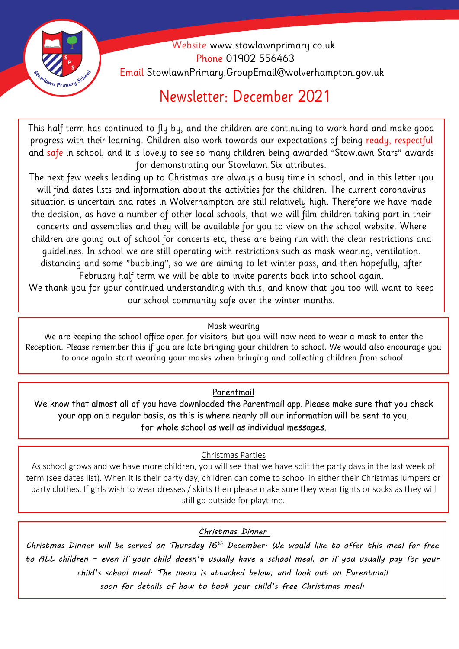

 Website [www.stowlawnprimary.co.uk](http://www.stowlawnprimary.co.uk/)  Phone 01902 556463 Email StowlawnPrimary.GroupEmail@wolverhampton.gov.uk

# Newsletter: December 2021

This half term has continued to fly by, and the children are continuing to work hard and make good progress with their learning. Children also work towards our expectations of being ready, respectful and safe in school, and it is lovely to see so many children being awarded "Stowlawn Stars" awards for demonstrating our Stowlawn Six attributes.

The next few weeks leading up to Christmas are always a busy time in school, and in this letter you will find dates lists and information about the activities for the children. The current coronavirus situation is uncertain and rates in Wolverhampton are still relatively high. Therefore we have made the decision, as have a number of other local schools, that we will film children taking part in their concerts and assemblies and they will be available for you to view on the school website. Where children are going out of school for concerts etc, these are being run with the clear restrictions and guidelines. In school we are still operating with restrictions such as mask wearing, ventilation. distancing and some "bubbling", so we are aiming to let winter pass, and then hopefully, after February half term we will be able to invite parents back into school again.

We thank you for your continued understanding with this, and know that you too will want to keep our school community safe over the winter months.

### Mask wearing

We are keeping the school office open for visitors, but you will now need to wear a mask to enter the Reception. Please remember this if you are late bringing your children to school. We would also encourage you to once again start wearing your masks when bringing and collecting children from school.

### Parentmail

We know that almost all of you have downloaded the Parentmail app. Please make sure that you check your app on a regular basis, as this is where nearly all our information will be sent to you, for whole school as well as individual messages.

#### Christmas Parties

As school grows and we have more children, you will see that we have split the party days in the last week of term (see dates list). When it is their party day, children can come to school in either their Christmas jumpers or party clothes. If girls wish to wear dresses / skirts then please make sure they wear tights or socks as they will still go outside for playtime.

*Christmas Dinner* 

*Christmas Dinner will be served on Thursday 16th December. We would like to offer this meal for free to ALL children – even if your child doesn't usually have a school meal, or if you usually pay for your child's school meal. The menu is attached below, and look out on Parentmail soon for details of how to book your child's free Christmas meal.*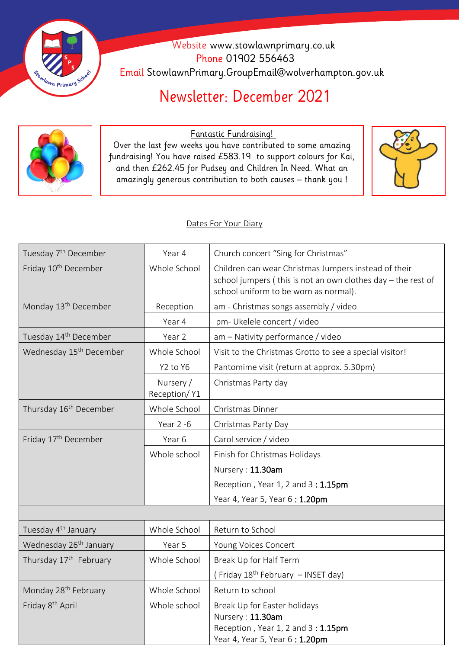

 Website [www.stowlawnprimary.co.uk](http://www.stowlawnprimary.co.uk/)  Phone 01902 556463 Email StowlawnPrimary.GroupEmail@wolverhampton.gov.uk

# Newsletter: December 2021



<u>Fantastic Fundraising!</u>

Over the last few weeks you have contributed to some amazing fundraising! You have raised £583.19 to support colours for Kai, and then £262.45 for Pudsey and Children In Need. What an amazingly generous contribution to both causes – thank you !



#### Dates For Your Diary

| Tuesday 7 <sup>th</sup> December    | Year 4                    | Church concert "Sing for Christmas"                                                                                                                           |
|-------------------------------------|---------------------------|---------------------------------------------------------------------------------------------------------------------------------------------------------------|
| Friday 10 <sup>th</sup> December    | Whole School              | Children can wear Christmas Jumpers instead of their<br>school jumpers (this is not an own clothes day - the rest of<br>school uniform to be worn as normal). |
| Monday 13 <sup>th</sup> December    | Reception                 | am - Christmas songs assembly / video                                                                                                                         |
|                                     | Year 4                    | pm- Ukelele concert / video                                                                                                                                   |
| Tuesday 14 <sup>th</sup> December   | Year 2                    | am - Nativity performance / video                                                                                                                             |
| Wednesday 15 <sup>th</sup> December | Whole School              | Visit to the Christmas Grotto to see a special visitor!                                                                                                       |
|                                     | Y2 to Y6                  | Pantomime visit (return at approx. 5.30pm)                                                                                                                    |
|                                     | Nursery /<br>Reception/Y1 | Christmas Party day                                                                                                                                           |
| Thursday 16 <sup>th</sup> December  | Whole School              | Christmas Dinner                                                                                                                                              |
|                                     | Year 2 -6                 | Christmas Party Day                                                                                                                                           |
| Friday 17th December                | Year 6                    | Carol service / video                                                                                                                                         |
|                                     | Whole school              | Finish for Christmas Holidays                                                                                                                                 |
|                                     |                           | Nursery: 11.30am                                                                                                                                              |
|                                     |                           | Reception, Year 1, 2 and 3 : 1.15pm                                                                                                                           |
|                                     |                           | Year 4, Year 5, Year 6: 1.20pm                                                                                                                                |
|                                     |                           |                                                                                                                                                               |
| Tuesday 4 <sup>th</sup> January     | Whole School              | Return to School                                                                                                                                              |
| Wednesday 26 <sup>th</sup> January  | Year 5                    | Young Voices Concert                                                                                                                                          |
| Thursday 17 <sup>th</sup> February  | Whole School              | Break Up for Half Term                                                                                                                                        |
|                                     |                           | (Friday 18 <sup>th</sup> February - INSET day)                                                                                                                |
| Monday 28 <sup>th</sup> February    | Whole School              | Return to school                                                                                                                                              |
| Friday 8 <sup>th</sup> April        | Whole school              | Break Up for Easter holidays<br>Nursery: 11.30am<br>Reception, Year 1, 2 and 3 : 1.15pm                                                                       |

Year 4, Year 5, Year 6 : 1.20pm